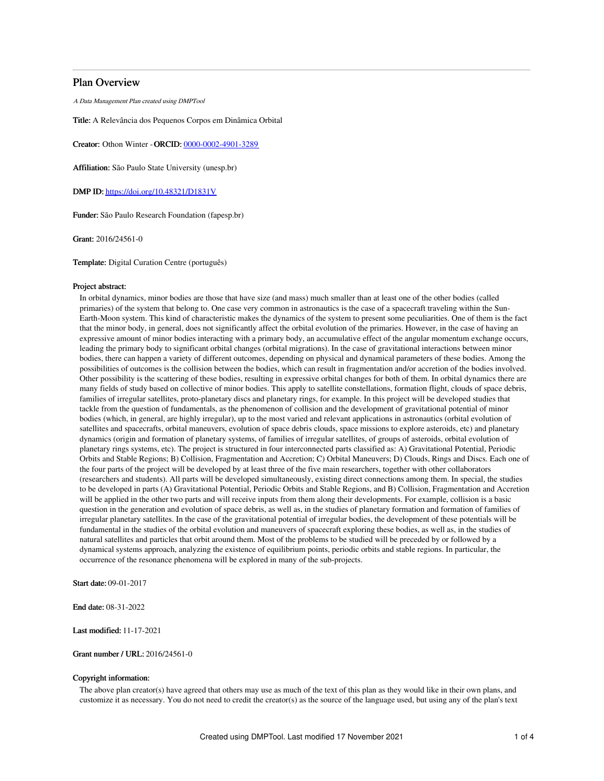# Plan Overview

A Data Management Plan created using DMPTool

Title: A Relevância dos Pequenos Corpos em Dinâmica Orbital

Creator: Othon Winter -ORCID: [0000-0002-4901-3289](https://orcid.org/0000-0002-4901-3289)

Affiliation: São Paulo State University (unesp.br)

DMP ID: <https://doi.org/10.48321/D1831V>

Funder: São Paulo Research Foundation (fapesp.br)

Grant: 2016/24561-0

Template: Digital Curation Centre (português)

### Project abstract:

In orbital dynamics, minor bodies are those that have size (and mass) much smaller than at least one of the other bodies (called primaries) of the system that belong to. One case very common in astronautics is the case of a spacecraft traveling within the Sun-Earth-Moon system. This kind of characteristic makes the dynamics of the system to present some peculiarities. One of them is the fact that the minor body, in general, does not significantly affect the orbital evolution of the primaries. However, in the case of having an expressive amount of minor bodies interacting with a primary body, an accumulative effect of the angular momentum exchange occurs, leading the primary body to significant orbital changes (orbital migrations). In the case of gravitational interactions between minor bodies, there can happen a variety of different outcomes, depending on physical and dynamical parameters of these bodies. Among the possibilities of outcomes is the collision between the bodies, which can result in fragmentation and/or accretion of the bodies involved. Other possibility is the scattering of these bodies, resulting in expressive orbital changes for both of them. In orbital dynamics there are many fields of study based on collective of minor bodies. This apply to satellite constellations, formation flight, clouds of space debris, families of irregular satellites, proto-planetary discs and planetary rings, for example. In this project will be developed studies that tackle from the question of fundamentals, as the phenomenon of collision and the development of gravitational potential of minor bodies (which, in general, are highly irregular), up to the most varied and relevant applications in astronautics (orbital evolution of satellites and spacecrafts, orbital maneuvers, evolution of space debris clouds, space missions to explore asteroids, etc) and planetary dynamics (origin and formation of planetary systems, of families of irregular satellites, of groups of asteroids, orbital evolution of planetary rings systems, etc). The project is structured in four interconnected parts classified as: A) Gravitational Potential, Periodic Orbits and Stable Regions; B) Collision, Fragmentation and Accretion; C) Orbital Maneuvers; D) Clouds, Rings and Discs. Each one of the four parts of the project will be developed by at least three of the five main researchers, together with other collaborators (researchers and students). All parts will be developed simultaneously, existing direct connections among them. In special, the studies to be developed in parts (A) Gravitational Potential, Periodic Orbits and Stable Regions, and B) Collision, Fragmentation and Accretion will be applied in the other two parts and will receive inputs from them along their developments. For example, collision is a basic question in the generation and evolution of space debris, as well as, in the studies of planetary formation and formation of families of irregular planetary satellites. In the case of the gravitational potential of irregular bodies, the development of these potentials will be fundamental in the studies of the orbital evolution and maneuvers of spacecraft exploring these bodies, as well as, in the studies of natural satellites and particles that orbit around them. Most of the problems to be studied will be preceded by or followed by a dynamical systems approach, analyzing the existence of equilibrium points, periodic orbits and stable regions. In particular, the occurrence of the resonance phenomena will be explored in many of the sub-projects.

Start date: 09-01-2017

End date: 08-31-2022

Last modified: 11-17-2021

### Grant number / URL: 2016/24561-0

### Copyright information:

The above plan creator(s) have agreed that others may use as much of the text of this plan as they would like in their own plans, and customize it as necessary. You do not need to credit the creator(s) as the source of the language used, but using any of the plan's text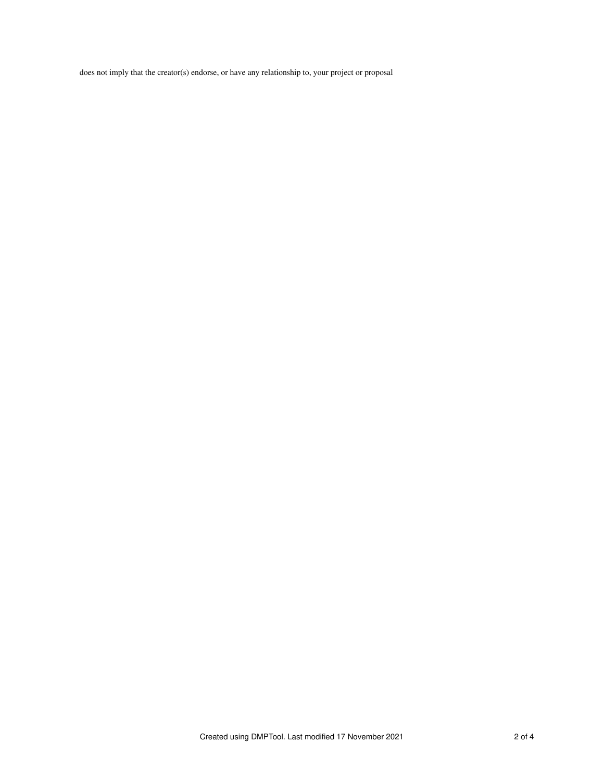does not imply that the creator(s) endorse, or have any relationship to, your project or proposal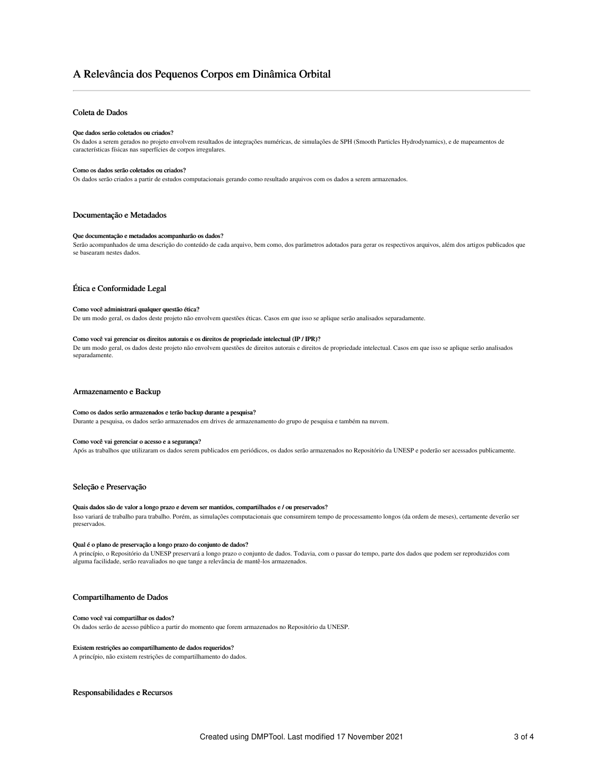# A Relevância dos Pequenos Corpos em Dinâmica Orbital

# Coleta de Dados

### Que dados serão coletados ou criados?

Os dados a serem gerados no projeto envolvem resultados de integrações numéricas, de simulações de SPH (Smooth Particles Hydrodynamics), e de mapeamentos de características físicas nas superfícies de corpos irregulares.

#### Como os dados serão coletados ou criados?

Os dados serão criados a partir de estudos computacionais gerando como resultado arquivos com os dados a serem armazenados.

### Documentação e Metadados

#### Que documentação e metadados acompanharão os dados?

Serão acompanhados de uma descrição do conteúdo de cada arquivo, bem como, dos parâmetros adotados para gerar os respectivos arquivos, além dos artigos publicados que se basearam nestes dados.

### Ética e Conformidade Legal

### Como você administrará qualquer questão ética?

De um modo geral, os dados deste projeto não envolvem questões éticas. Casos em que isso se aplique serão analisados separadamente.

#### Como você vai gerenciar os direitos autorais e os direitos de propriedade intelectual (IP / IPR)?

De um modo geral, os dados deste projeto não envolvem questões de direitos autorais e direitos de propriedade intelectual. Casos em que isso se aplique serão analisados separadamente.

### Armazenamento e Backup

### Como os dados serão armazenados e terão backup durante a pesquisa?

Durante a pesquisa, os dados serão armazenados em drives de armazenamento do grupo de pesquisa e também na nuvem.

#### Como você vai gerenciar o acesso e a segurança?

Após as trabalhos que utilizaram os dados serem publicados em periódicos, os dados serão armazenados no Repositório da UNESP e poderão ser acessados publicamente.

# Seleção e Preservação

### Quais dados são de valor a longo prazo e devem ser mantidos, compartilhados e / ou preservados?

Isso variará de trabalho para trabalho. Porém, as simulações computacionais que consumirem tempo de processamento longos (da ordem de meses), certamente deverão ser preservados.

# Qual é o plano de preservação a longo prazo do conjunto de dados?

A princípio, o Repositório da UNESP preservará a longo prazo o conjunto de dados. Todavia, com o passar do tempo, parte dos dados que podem ser reproduzidos com alguma facilidade, serão reavaliados no que tange a relevância de mantê-los armazenados.

### Compartilhamento de Dados

### Como você vai compartilhar os dados?

Os dados serão de acesso público a partir do momento que forem armazenados no Repositório da UNESP.

### Existem restrições ao compartilhamento de dados requeridos?

A princípio, não existem restrições de compartilhamento do dados.

Responsabilidades e Recursos